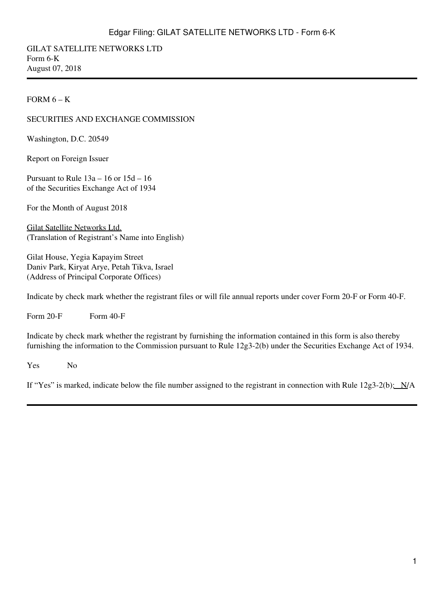GILAT SATELLITE NETWORKS LTD Form 6-K August 07, 2018

#### FORM  $6 - K$

### SECURITIES AND EXCHANGE COMMISSION

Washington, D.C. 20549

Report on Foreign Issuer

Pursuant to Rule 13a – 16 or 15d – 16 of the Securities Exchange Act of 1934

For the Month of August 2018

Gilat Satellite Networks Ltd. (Translation of Registrant's Name into English)

Gilat House, Yegia Kapayim Street Daniv Park, Kiryat Arye, Petah Tikva, Israel (Address of Principal Corporate Offices)

Indicate by check mark whether the registrant files or will file annual reports under cover Form 20-F or Form 40-F.

Form  $20-F$  Form  $40-F$ 

Indicate by check mark whether the registrant by furnishing the information contained in this form is also thereby furnishing the information to the Commission pursuant to Rule 12g3-2(b) under the Securities Exchange Act of 1934.

Yes No

If "Yes" is marked, indicate below the file number assigned to the registrant in connection with Rule  $12g3-2(b)$ :  $N/A$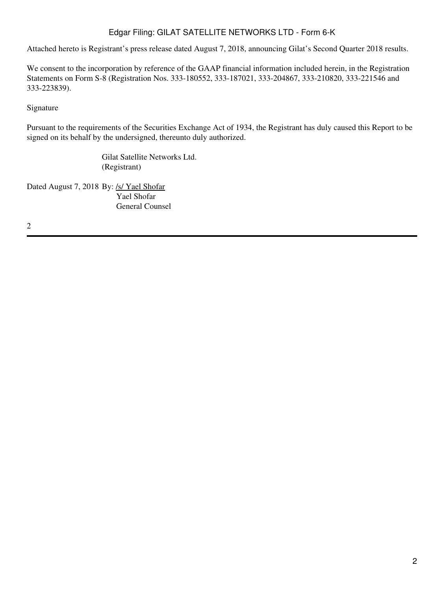Attached hereto is Registrant's press release dated August 7, 2018, announcing Gilat's Second Quarter 2018 results.

We consent to the incorporation by reference of the GAAP financial information included herein, in the Registration Statements on Form S-8 (Registration Nos. 333-180552, 333-187021, 333-204867, 333-210820, 333-221546 and 333-223839).

## Signature

Pursuant to the requirements of the Securities Exchange Act of 1934, the Registrant has duly caused this Report to be signed on its behalf by the undersigned, thereunto duly authorized.

> Gilat Satellite Networks Ltd. (Registrant)

Dated August 7, 2018 By: /s/ Yael Shofar Yael Shofar General Counsel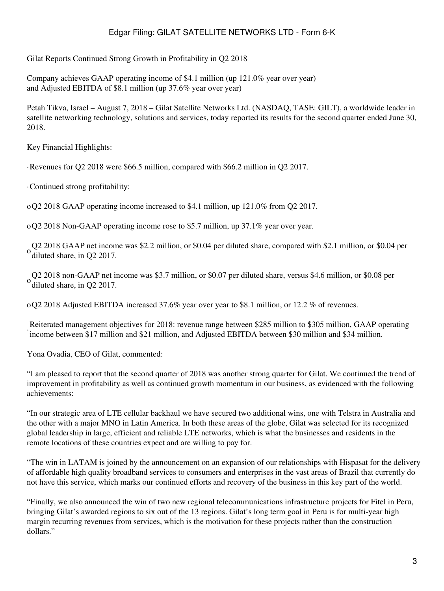Gilat Reports Continued Strong Growth in Profitability in Q2 2018

Company achieves GAAP operating income of \$4.1 million (up 121.0% year over year) and Adjusted EBITDA of \$8.1 million (up 37.6% year over year)

Petah Tikva, Israel – August 7, 2018 – Gilat Satellite Networks Ltd. (NASDAQ, TASE: GILT), a worldwide leader in satellite networking technology, solutions and services, today reported its results for the second quarter ended June 30, 2018.

Key Financial Highlights:

·Revenues for Q2 2018 were \$66.5 million, compared with \$66.2 million in Q2 2017.

·Continued strong profitability:

oQ2 2018 GAAP operating income increased to \$4.1 million, up 121.0% from Q2 2017.

oQ2 2018 Non-GAAP operating income rose to \$5.7 million, up 37.1% year over year.

Q2 2018 GAAP net income was \$2.2 million, or \$0.04 per diluted share, compared with \$2.1 million, or \$0.04 per  $\frac{0 \text{ dibhode}}{2}$ diluted share, in Q2 2017.

Q2 2018 non-GAAP net income was \$3.7 million, or \$0.07 per diluted share, versus \$4.6 million, or \$0.08 per  $\frac{1}{2}$ diluted share, in Q2 2017.

oQ2 2018 Adjusted EBITDA increased 37.6% year over year to \$8.1 million, or 12.2 % of revenues.

· income between \$17 million and \$21 million, and Adjusted EBITDA between \$30 million and \$34 million. Reiterated management objectives for 2018: revenue range between \$285 million to \$305 million, GAAP operating

Yona Ovadia, CEO of Gilat, commented:

"I am pleased to report that the second quarter of 2018 was another strong quarter for Gilat. We continued the trend of improvement in profitability as well as continued growth momentum in our business, as evidenced with the following achievements:

"In our strategic area of LTE cellular backhaul we have secured two additional wins, one with Telstra in Australia and the other with a major MNO in Latin America. In both these areas of the globe, Gilat was selected for its recognized global leadership in large, efficient and reliable LTE networks, which is what the businesses and residents in the remote locations of these countries expect and are willing to pay for.

"The win in LATAM is joined by the announcement on an expansion of our relationships with Hispasat for the delivery of affordable high quality broadband services to consumers and enterprises in the vast areas of Brazil that currently do not have this service, which marks our continued efforts and recovery of the business in this key part of the world.

"Finally, we also announced the win of two new regional telecommunications infrastructure projects for Fitel in Peru, bringing Gilat's awarded regions to six out of the 13 regions. Gilat's long term goal in Peru is for multi-year high margin recurring revenues from services, which is the motivation for these projects rather than the construction dollars."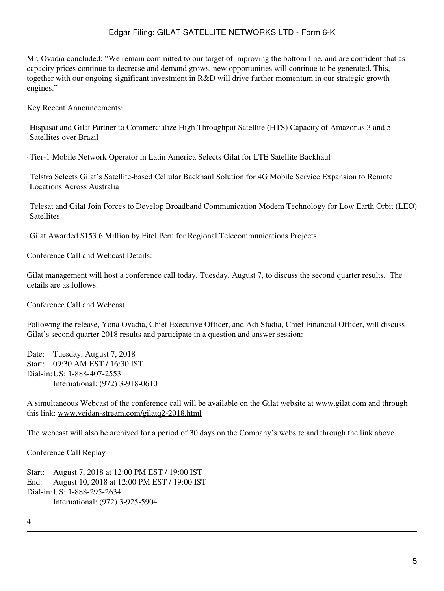Mr. Ovadia concluded: "We remain committed to our target of improving the bottom line, and are confident that as capacity prices continue to decrease and demand grows, new opportunities will continue to be generated. This, together with our ongoing significant investment in R&D will drive further momentum in our strategic growth engines."

Key Recent Announcements:

Satellites over Brazil Hispasat and Gilat Partner to Commercialize High Throughput Satellite (HTS) Capacity of Amazonas 3 and 5

·Tier-1 Mobile Network Operator in Latin America Selects Gilat for LTE Satellite Backhaul

· Locations Across Australia Telstra Selects Gilat's Satellite-based Cellular Backhaul Solution for 4G Mobile Service Expansion to Remote

· Telesat and Gilat Join Forces to Develop Broadband Communication Modem Technology for Low Earth Orbit (LEO) **Satellites** 

·Gilat Awarded \$153.6 Million by Fitel Peru for Regional Telecommunications Projects

Conference Call and Webcast Details:

Gilat management will host a conference call today, Tuesday, August 7, to discuss the second quarter results. The details are as follows:

Conference Call and Webcast

Following the release, Yona Ovadia, Chief Executive Officer, and Adi Sfadia, Chief Financial Officer, will discuss Gilat's second quarter 2018 results and participate in a question and answer session:

Date: Tuesday, August 7, 2018 Start: 09:30 AM EST / 16:30 IST Dial-in:US: 1-888-407-2553 International: (972) 3-918-0610

A simultaneous Webcast of the conference call will be available on the Gilat website at www.gilat.com and through this link: www.veidan-stream.com/gilatq2-2018.html

The webcast will also be archived for a period of 30 days on the Company's website and through the link above.

Conference Call Replay

Start: August 7, 2018 at 12:00 PM EST / 19:00 IST End: August 10, 2018 at 12:00 PM EST / 19:00 IST Dial-in:US: 1-888-295-2634 International: (972) 3-925-5904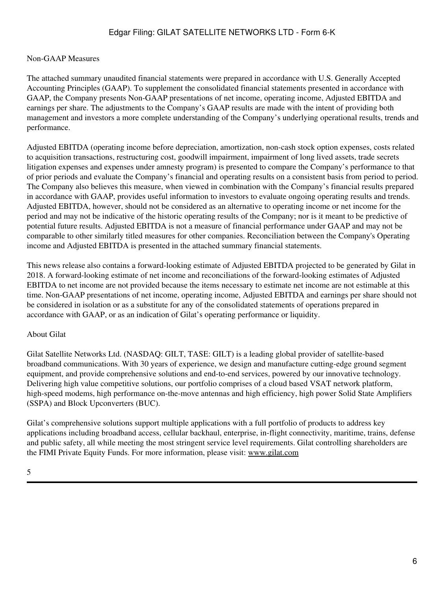#### Non-GAAP Measures

The attached summary unaudited financial statements were prepared in accordance with U.S. Generally Accepted Accounting Principles (GAAP). To supplement the consolidated financial statements presented in accordance with GAAP, the Company presents Non-GAAP presentations of net income, operating income, Adjusted EBITDA and earnings per share. The adjustments to the Company's GAAP results are made with the intent of providing both management and investors a more complete understanding of the Company's underlying operational results, trends and performance.

Adjusted EBITDA (operating income before depreciation, amortization, non-cash stock option expenses, costs related to acquisition transactions, restructuring cost, goodwill impairment, impairment of long lived assets, trade secrets litigation expenses and expenses under amnesty program) is presented to compare the Company's performance to that of prior periods and evaluate the Company's financial and operating results on a consistent basis from period to period. The Company also believes this measure, when viewed in combination with the Company's financial results prepared in accordance with GAAP, provides useful information to investors to evaluate ongoing operating results and trends. Adjusted EBITDA, however, should not be considered as an alternative to operating income or net income for the period and may not be indicative of the historic operating results of the Company; nor is it meant to be predictive of potential future results. Adjusted EBITDA is not a measure of financial performance under GAAP and may not be comparable to other similarly titled measures for other companies. Reconciliation between the Company's Operating income and Adjusted EBITDA is presented in the attached summary financial statements.

This news release also contains a forward-looking estimate of Adjusted EBITDA projected to be generated by Gilat in 2018. A forward-looking estimate of net income and reconciliations of the forward-looking estimates of Adjusted EBITDA to net income are not provided because the items necessary to estimate net income are not estimable at this time. Non-GAAP presentations of net income, operating income, Adjusted EBITDA and earnings per share should not be considered in isolation or as a substitute for any of the consolidated statements of operations prepared in accordance with GAAP, or as an indication of Gilat's operating performance or liquidity.

#### About Gilat

Gilat Satellite Networks Ltd. (NASDAQ: GILT, TASE: GILT) is a leading global provider of satellite-based broadband communications. With 30 years of experience, we design and manufacture cutting-edge ground segment equipment, and provide comprehensive solutions and end-to-end services, powered by our innovative technology. Delivering high value competitive solutions, our portfolio comprises of a cloud based VSAT network platform, high-speed modems, high performance on-the-move antennas and high efficiency, high power Solid State Amplifiers (SSPA) and Block Upconverters (BUC).

Gilat's comprehensive solutions support multiple applications with a full portfolio of products to address key applications including broadband access, cellular backhaul, enterprise, in-flight connectivity, maritime, trains, defense and public safety, all while meeting the most stringent service level requirements. Gilat controlling shareholders are the FIMI Private Equity Funds. For more information, please visit: www.gilat.com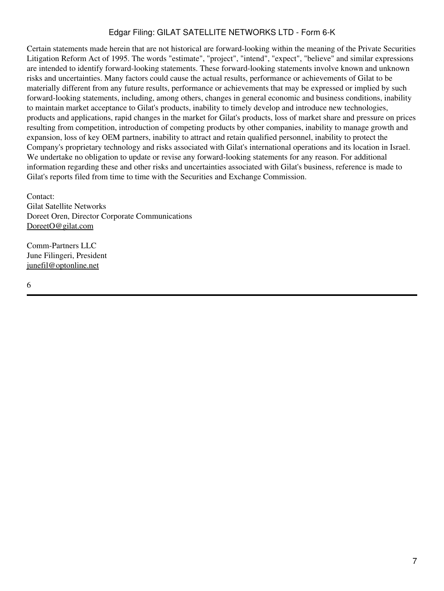Certain statements made herein that are not historical are forward-looking within the meaning of the Private Securities Litigation Reform Act of 1995. The words "estimate", "project", "intend", "expect", "believe" and similar expressions are intended to identify forward-looking statements. These forward-looking statements involve known and unknown risks and uncertainties. Many factors could cause the actual results, performance or achievements of Gilat to be materially different from any future results, performance or achievements that may be expressed or implied by such forward-looking statements, including, among others, changes in general economic and business conditions, inability to maintain market acceptance to Gilat's products, inability to timely develop and introduce new technologies, products and applications, rapid changes in the market for Gilat's products, loss of market share and pressure on prices resulting from competition, introduction of competing products by other companies, inability to manage growth and expansion, loss of key OEM partners, inability to attract and retain qualified personnel, inability to protect the Company's proprietary technology and risks associated with Gilat's international operations and its location in Israel. We undertake no obligation to update or revise any forward-looking statements for any reason. For additional information regarding these and other risks and uncertainties associated with Gilat's business, reference is made to Gilat's reports filed from time to time with the Securities and Exchange Commission.

Contact: Gilat Satellite Networks Doreet Oren, Director Corporate Communications DoreetO@gilat.com

Comm-Partners LLC June Filingeri, President junefil@optonline.net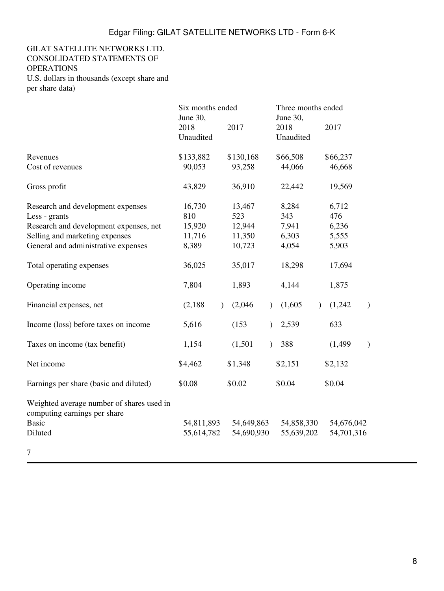## GILAT SATELLITE NETWORKS LTD. CONSOLIDATED STATEMENTS OF **OPERATIONS**

U.S. dollars in thousands (except share and per share data)

|                                                                                                      | Six months ended<br>June 30, |                          | Three months ended<br>June 30, |                                       |
|------------------------------------------------------------------------------------------------------|------------------------------|--------------------------|--------------------------------|---------------------------------------|
|                                                                                                      | 2018<br>Unaudited            | 2017                     | 2018<br>Unaudited              | 2017                                  |
| Revenues                                                                                             | \$133,882                    | \$130,168                | \$66,508                       | \$66,237                              |
| Cost of revenues                                                                                     | 90,053                       | 93,258                   | 44,066                         | 46,668                                |
| Gross profit                                                                                         | 43,829                       | 36,910                   | 22,442                         | 19,569                                |
| Research and development expenses                                                                    | 16,730                       | 13,467                   | 8,284                          | 6,712                                 |
| Less - grants                                                                                        | 810                          | 523                      | 343                            | 476                                   |
| Research and development expenses, net                                                               | 15,920                       | 12,944                   | 7,941                          | 6,236                                 |
| Selling and marketing expenses                                                                       | 11,716                       | 11,350                   | 6,303                          | 5,555                                 |
| General and administrative expenses                                                                  | 8,389                        | 10,723                   | 4,054                          | 5,903                                 |
| Total operating expenses                                                                             | 36,025                       | 35,017                   | 18,298                         | 17,694                                |
| Operating income                                                                                     | 7,804                        | 1,893                    | 4,144                          | 1,875                                 |
| Financial expenses, net                                                                              | (2,188)                      | (2,046)<br>$\mathcal{E}$ | (1,605)<br>$\mathcal{L}$       | (1,242)<br>$\lambda$<br>$\mathcal{E}$ |
| Income (loss) before taxes on income                                                                 | 5,616                        | (153)                    | 2,539<br>$\lambda$             | 633                                   |
| Taxes on income (tax benefit)                                                                        | 1,154                        | (1,501)                  | 388<br>$\mathcal{L}$           | (1, 499)<br>$\mathcal{E}$             |
| Net income                                                                                           | \$4,462                      | \$1,348                  | \$2,151                        | \$2,132                               |
| Earnings per share (basic and diluted)                                                               | \$0.08                       | \$0.02                   | \$0.04                         | \$0.04                                |
| Weighted average number of shares used in<br>computing earnings per share<br><b>Basic</b><br>Diluted | 54,811,893<br>55,614,782     | 54,649,863<br>54,690,930 | 54,858,330<br>55,639,202       | 54,676,042<br>54,701,316              |
| 7                                                                                                    |                              |                          |                                |                                       |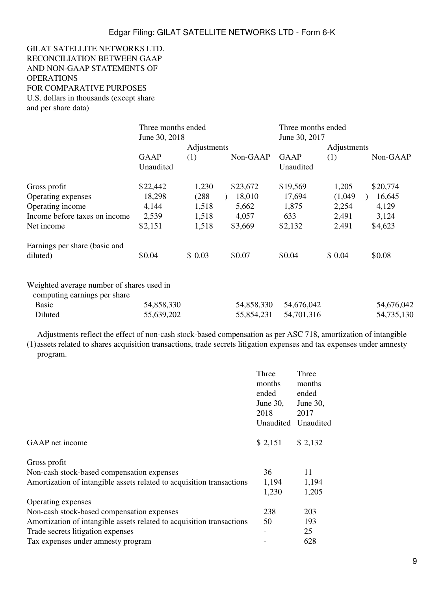## GILAT SATELLITE NETWORKS LTD. RECONCILIATION BETWEEN GAAP AND NON-GAAP STATEMENTS OF **OPERATIONS** FOR COMPARATIVE PURPOSES U.S. dollars in thousands (except share

and per share data)

|                                           | Three months ended<br>June 30, 2018 |             | Three months ended<br>June 30, 2017 |             |         |            |
|-------------------------------------------|-------------------------------------|-------------|-------------------------------------|-------------|---------|------------|
|                                           |                                     | Adjustments |                                     | Adjustments |         |            |
|                                           | GAAP                                | (1)         | Non-GAAP                            | GAAP        | (1)     | Non-GAAP   |
|                                           | Unaudited                           |             |                                     | Unaudited   |         |            |
| Gross profit                              | \$22,442                            | 1,230       | \$23,672                            | \$19,569    | 1,205   | \$20,774   |
| Operating expenses                        | 18,298                              | (288)       | 18,010                              | 17,694      | (1,049) | 16,645     |
| Operating income                          | 4,144                               | 1,518       | 5,662                               | 1,875       | 2,254   | 4,129      |
| Income before taxes on income             | 2,539                               | 1,518       | 4,057                               | 633         | 2,491   | 3,124      |
| Net income                                | \$2,151                             | 1,518       | \$3,669                             | \$2,132     | 2,491   | \$4,623    |
| Earnings per share (basic and             |                                     |             |                                     |             |         |            |
| diluted)                                  | \$0.04                              | \$0.03      | \$0.07                              | \$0.04      | \$0.04  | \$0.08     |
| Weighted average number of shares used in |                                     |             |                                     |             |         |            |
| computing earnings per share              |                                     |             |                                     |             |         |            |
| <b>Basic</b>                              | 54,858,330                          |             | 54,858,330                          | 54,676,042  |         | 54,676,042 |
| Diluted                                   | 55,639,202                          |             | 55,854,231                          | 54,701,316  |         | 54,735,130 |

(1) assets related to shares acquisition transactions, trade secrets litigation expenses and tax expenses under amnesty Adjustments reflect the effect of non-cash stock-based compensation as per ASC 718, amortization of intangible

program.

|                                                                       | Three<br>months<br>ended<br>June $30$ ,<br>2018<br>Unaudited | Three<br>months<br>ended<br>June 30,<br>2017<br>Unaudited |
|-----------------------------------------------------------------------|--------------------------------------------------------------|-----------------------------------------------------------|
| GAAP net income                                                       | \$2,151                                                      | \$2,132                                                   |
| Gross profit                                                          |                                                              |                                                           |
| Non-cash stock-based compensation expenses                            | 36                                                           | 11                                                        |
| Amortization of intangible assets related to acquisition transactions | 1,194                                                        | 1,194                                                     |
|                                                                       | 1,230                                                        | 1,205                                                     |
| Operating expenses                                                    |                                                              |                                                           |
| Non-cash stock-based compensation expenses                            | 238                                                          | 203                                                       |
| Amortization of intangible assets related to acquisition transactions | 50                                                           | 193                                                       |
| Trade secrets litigation expenses                                     | -                                                            | 25                                                        |
| Tax expenses under amnesty program                                    |                                                              | 628                                                       |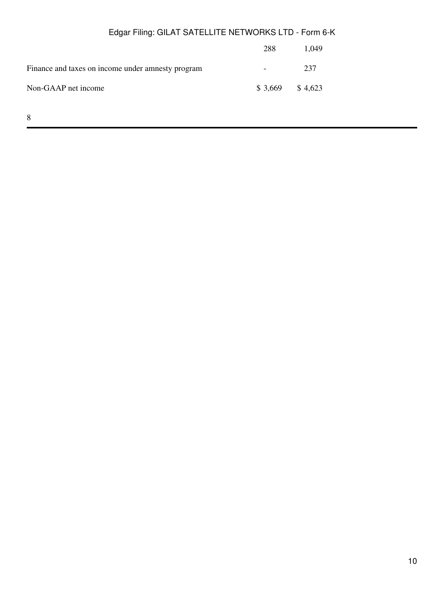|                                                   | 288                      | 1.049 |
|---------------------------------------------------|--------------------------|-------|
| Finance and taxes on income under amnesty program | $\overline{\phantom{0}}$ | 237   |
| Non-GAAP net income                               | $$3,669$ $$4,623$        |       |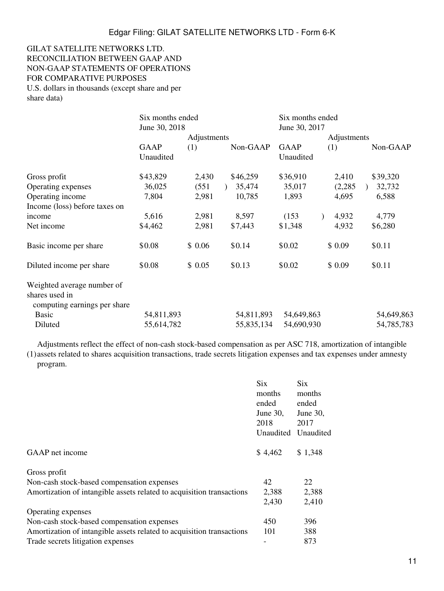### GILAT SATELLITE NETWORKS LTD. RECONCILIATION BETWEEN GAAP AND NON-GAAP STATEMENTS OF OPERATIONS FOR COMPARATIVE PURPOSES U.S. dollars in thousands (except share and per share data)

|                                                                              | Six months ended<br>June 30, 2018 |             | Six months ended<br>June 30, 2017 |                          |             |            |  |
|------------------------------------------------------------------------------|-----------------------------------|-------------|-----------------------------------|--------------------------|-------------|------------|--|
|                                                                              |                                   | Adjustments |                                   |                          | Adjustments |            |  |
|                                                                              | <b>GAAP</b><br>Unaudited          | (1)         | Non-GAAP                          | <b>GAAP</b><br>Unaudited | (1)         | Non-GAAP   |  |
| Gross profit                                                                 | \$43,829                          | 2,430       | \$46,259                          | \$36,910                 | 2,410       | \$39,320   |  |
| Operating expenses                                                           | 36,025                            | (551)       | 35,474                            | 35,017                   | (2,285)     | 32,732     |  |
| Operating income                                                             | 7,804                             | 2,981       | 10,785                            | 1,893                    | 4,695       | 6,588      |  |
| Income (loss) before taxes on                                                |                                   |             |                                   |                          |             |            |  |
| income                                                                       | 5,616                             | 2,981       | 8,597                             | (153)                    | 4,932       | 4,779      |  |
| Net income                                                                   | \$4,462                           | 2,981       | \$7,443                           | \$1,348                  | 4,932       | \$6,280    |  |
| Basic income per share                                                       | \$0.08                            | \$0.06      | \$0.14                            | \$0.02                   | \$0.09      | \$0.11     |  |
| Diluted income per share                                                     | \$0.08                            | \$0.05      | \$0.13                            | \$0.02                   | \$0.09      | \$0.11     |  |
| Weighted average number of<br>shares used in<br>computing earnings per share |                                   |             |                                   |                          |             |            |  |
| <b>Basic</b>                                                                 | 54,811,893                        |             | 54,811,893                        | 54,649,863               |             | 54,649,863 |  |
| Diluted                                                                      | 55,614,782                        |             | 55,835,134                        | 54,690,930               |             | 54,785,783 |  |

Adjustments reflect the effect of non-cash stock-based compensation as per ASC 718, amortization of intangible

(1) assets related to shares acquisition transactions, trade secrets litigation expenses and tax expenses under amnesty program.

|                                                                       | <b>Six</b>  | <b>Six</b>          |
|-----------------------------------------------------------------------|-------------|---------------------|
|                                                                       | months      | months              |
|                                                                       | ended       | ended               |
|                                                                       | June $30$ , | June 30,            |
|                                                                       | 2018        | 2017                |
|                                                                       |             | Unaudited Unaudited |
| GAAP net income                                                       | \$4,462     | \$1,348             |
| Gross profit                                                          |             |                     |
| Non-cash stock-based compensation expenses                            | 42          | 22                  |
| Amortization of intangible assets related to acquisition transactions | 2,388       | 2,388               |
|                                                                       | 2,430       | 2,410               |
| Operating expenses                                                    |             |                     |
| Non-cash stock-based compensation expenses                            | 450         | 396                 |
| Amortization of intangible assets related to acquisition transactions | 101         | 388                 |
| Trade secrets litigation expenses                                     |             | 873                 |
|                                                                       |             |                     |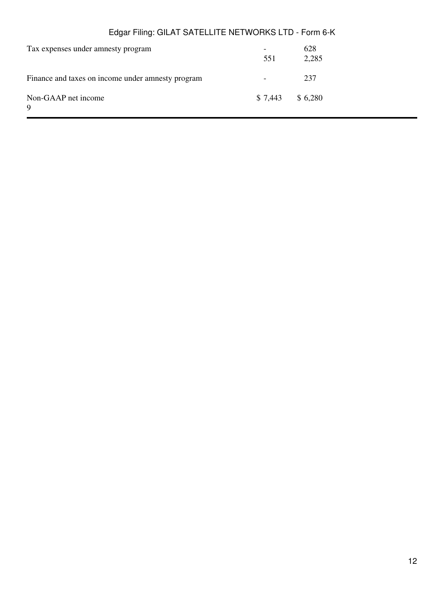| Tax expenses under amnesty program                | 551               | 628<br>2,285 |
|---------------------------------------------------|-------------------|--------------|
| Finance and taxes on income under amnesty program |                   | 237          |
| Non-GAAP net income<br>9                          | $$7,443$ $$6,280$ |              |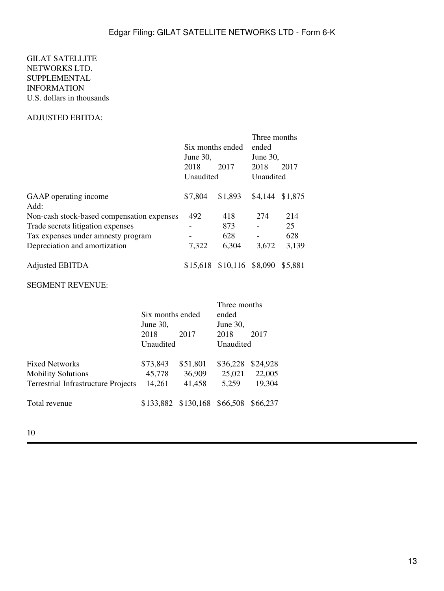## GILAT SATELLITE NETWORKS LTD. SUPPLEMENTAL INFORMATION U.S. dollars in thousands

## ADJUSTED EBITDA:

|                                            |                                 |          | Three months         |         |
|--------------------------------------------|---------------------------------|----------|----------------------|---------|
|                                            | Six months ended<br>June $30$ , |          | ended<br>June $30$ , |         |
|                                            |                                 |          |                      |         |
|                                            | 2018                            | 2017     | 2018                 | 2017    |
|                                            | Unaudited                       |          | Unaudited            |         |
| GAAP operating income                      | \$7,804                         | \$1,893  | \$4,144              | \$1,875 |
| Add:                                       |                                 |          |                      |         |
| Non-cash stock-based compensation expenses | 492                             | 418      | 274                  | 214     |
| Trade secrets litigation expenses          |                                 | 873      |                      | 25      |
| Tax expenses under amnesty program         |                                 | 628      |                      | 628     |
| Depreciation and amortization              | 7,322                           | 6,304    | 3,672                | 3,139   |
| <b>Adjusted EBITDA</b>                     | \$15,618                        | \$10,116 | \$8,090              | \$5.881 |

#### SEGMENT REVENUE:

|             |          | Three months     |                              |  |
|-------------|----------|------------------|------------------------------|--|
|             |          | ended            |                              |  |
| June $30$ , |          | June $30$ ,      |                              |  |
| 2018        | 2017     | 2018             | 2017                         |  |
| Unaudited   |          | Unaudited        |                              |  |
| \$73,843    | \$51,801 | \$36,228         | \$24,928                     |  |
| 45,778      | 36,909   | 25,021           | 22,005                       |  |
| 14,261      | 41,458   | 5,259            | 19,304                       |  |
|             |          |                  | \$66,237                     |  |
|             |          | Six months ended | \$133,882 \$130,168 \$66,508 |  |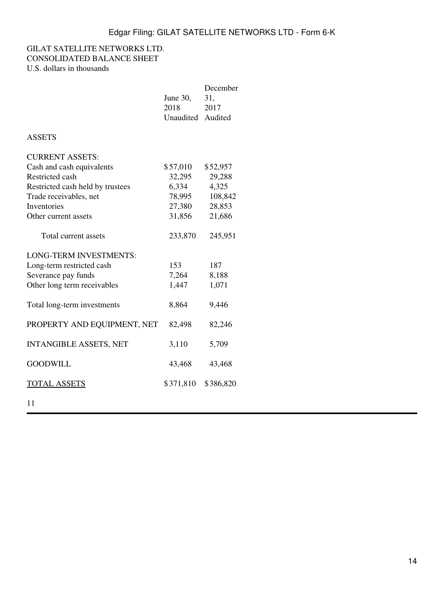### GILAT SATELLITE NETWORKS LTD. CONSOLIDATED BALANCE SHEET U.S. dollars in thousands

|                                  | June 30,<br>2018<br>Unaudited Audited | December<br>31,<br>2017 |
|----------------------------------|---------------------------------------|-------------------------|
| <b>ASSETS</b>                    |                                       |                         |
| <b>CURRENT ASSETS:</b>           |                                       |                         |
| Cash and cash equivalents        | \$57,010                              | \$52,957                |
| Restricted cash                  | 32,295                                | 29,288                  |
| Restricted cash held by trustees | 6,334                                 | 4,325                   |
| Trade receivables, net           | 78,995                                | 108,842                 |
| <b>Inventories</b>               | 27,380                                | 28,853                  |
| Other current assets             | 31,856                                | 21,686                  |
| Total current assets             | 233,870                               | 245,951                 |
| <b>LONG-TERM INVESTMENTS:</b>    |                                       |                         |
| Long-term restricted cash        | 153                                   | 187                     |
| Severance pay funds              | 7,264                                 | 8,188                   |
| Other long term receivables      | 1,447                                 | 1,071                   |
| Total long-term investments      | 8,864                                 | 9,446                   |
| PROPERTY AND EQUIPMENT, NET      | 82,498                                | 82,246                  |
| <b>INTANGIBLE ASSETS, NET</b>    | 3,110                                 | 5,709                   |
| <b>GOODWILL</b>                  | 43,468                                | 43,468                  |
| <u>TOTAL ASSETS</u>              | \$371,810                             | \$386,820               |
|                                  |                                       |                         |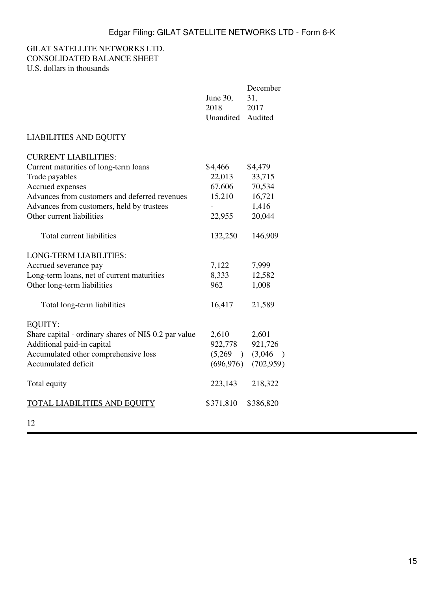## GILAT SATELLITE NETWORKS LTD. CONSOLIDATED BALANCE SHEET U.S. dollars in thousands

|                                                      | June 30,<br>2018<br>Unaudited | December<br>31,<br>2017<br>Audited |
|------------------------------------------------------|-------------------------------|------------------------------------|
| <b>LIABILITIES AND EQUITY</b>                        |                               |                                    |
| <b>CURRENT LIABILITIES:</b>                          |                               |                                    |
| Current maturities of long-term loans                | \$4,466                       | \$4,479                            |
| Trade payables                                       | 22,013                        | 33,715                             |
| Accrued expenses                                     | 67,606                        | 70,534                             |
| Advances from customers and deferred revenues        | 15,210                        | 16,721                             |
| Advances from customers, held by trustees            |                               | 1,416                              |
| Other current liabilities                            | 22,955                        | 20,044                             |
| Total current liabilities                            | 132,250                       | 146,909                            |
| <b>LONG-TERM LIABILITIES:</b>                        |                               |                                    |
| Accrued severance pay                                | 7,122                         | 7,999                              |
| Long-term loans, net of current maturities           | 8,333                         | 12,582                             |
| Other long-term liabilities                          | 962                           | 1,008                              |
| Total long-term liabilities                          | 16,417                        | 21,589                             |
| <b>EQUITY:</b>                                       |                               |                                    |
| Share capital - ordinary shares of NIS 0.2 par value | 2,610                         | 2,601                              |
| Additional paid-in capital                           | 922,778                       | 921,726                            |
| Accumulated other comprehensive loss                 | (5,269)                       | (3,046)<br>$\big)$                 |
| Accumulated deficit                                  | (696, 976)                    | (702, 959)                         |
| Total equity                                         | 223,143                       | 218,322                            |
| <b>TOTAL LIABILITIES AND EQUITY</b>                  | \$371,810                     | \$386,820                          |
|                                                      |                               |                                    |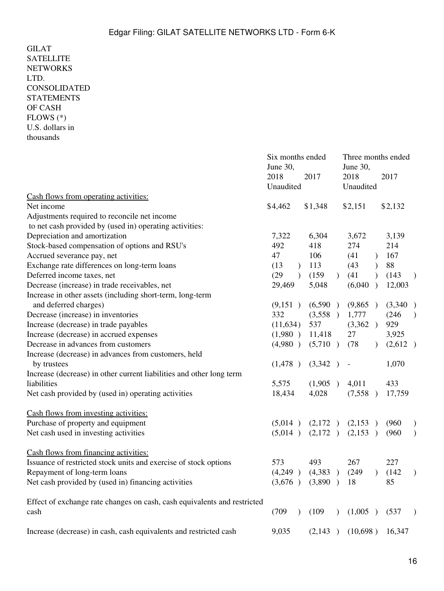GILAT **SATELLITE NETWORKS** LTD. CONSOLIDATED STATEMENTS OF CASH FLOWS (\*) U.S. dollars in thousands Six months ended Three months ended June 30, June 30, 2018 2017 2018 2017 Unaudited Unaudited Cash flows from operating activities: Net income \$4,462 \$1,348 \$2,151 \$2,132 Adjustments required to reconcile net income to net cash provided by (used in) operating activities: Depreciation and amortization 7,322 6,304 3,672 3,139 Stock-based compensation of options and RSU's  $492$  418 274 214 Accrued severance pay, net  $47 \t 106 \t (41) \t 167$ Exchange rate differences on long-term loans (13 ) 113 (43 ) 88 Deferred income taxes, net (29 )  $(159) (41) (143)$ Decrease (increase) in trade receivables, net 29,469 5,048 (6,040 ) 12,003 Increase in other assets (including short-term, long-term and deferred charges) (9,151 ) (6,590 ) (9,865 ) (3,340 ) Decrease (increase) in inventories 332 (3,558 ) 1,777 (246 ) Increase (decrease) in trade payables (11,634) 537 (3,362 ) 929 Increase (decrease) in accrued expenses (1,980 ) 11,418 27 3,925 Decrease in advances from customers (4,980 ) (5,710 ) (78 ) (2,612 ) Increase (decrease) in advances from customers, held by trustees  $(1,478)$   $(3,342)$  -  $1,070$ Increase (decrease) in other current liabilities and other long term liabilities 5,575 (1,905) 4,011 433 Net cash provided by (used in) operating activities 18,434 4,028 (7,558 ) 17,759 Cash flows from investing activities: Purchase of property and equipment (5,014) (2,172) (2,153) (960) Net cash used in investing activities (5,014 ) (2,172 ) (2,153 ) (960 ) Cash flows from financing activities: Issuance of restricted stock units and exercise of stock options 573 493 267 227 Repayment of long-term loans  $(4,249)$   $(4,383)$   $(249)$   $(142)$ Net cash provided by (used in) financing activities (3,676 ) (3,890 ) 18 85 Effect of exchange rate changes on cash, cash equivalents and restricted cash (709 ) (109 ) (1,005 ) (537 ) Increase (decrease) in cash, cash equivalents and restricted cash 9,035 (2,143 ) (10,698 ) 16,347